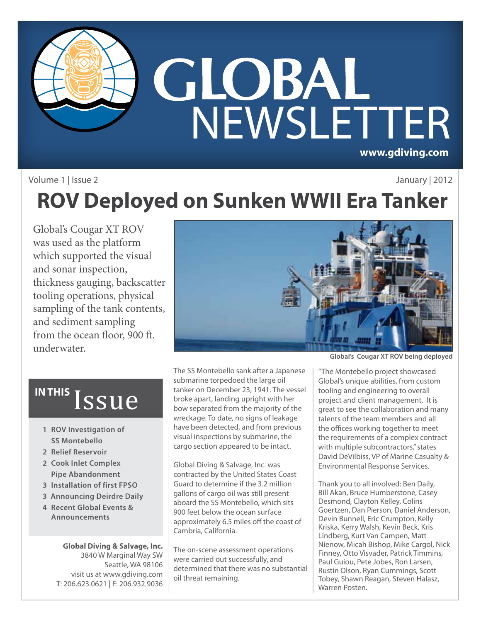

#### Volume 1 | Issue 2

### January | 2012

### **ROV Deployed on Sunken WWII Era Tanker**

Global's Cougar XT ROV was used as the platform which supported the visual and sonar inspection, thickness gauging, backscatter tooling operations, physical sampling of the tank contents, and sediment sampling from the ocean floor, 900 ft. underwater.



# IN THIS *ISSUE*

- **1 ROV Investigation of SS Montebello**
- **2 Relief Reservoir**
- **2 Cook Inlet Complex Pipe Abandonment**
- **3 Installation of first FPSO**
- **3 Announcing Deirdre Daily**
- **4 Recent Global Events & Announcements**

**Global Diving & Salvage, Inc.** 3840 W Marginal Way SW Seattle, WA 98106 visit us at www.gdiving.com T: 206.623.0621 | F: 206.932.9036

The SS Montebello sank after a Japanese submarine torpedoed the large oil tanker on December 23, 1941. The vessel broke apart, landing upright with her bow separated from the majority of the wreckage. To date, no signs of leakage have been detected, and from previous visual inspections by submarine, the cargo section appeared to be intact.

Global Diving & Salvage, Inc. was contracted by the United States Coast Guard to determine if the 3.2 million gallons of cargo oil was still present aboard the SS Montebello, which sits 900 feet below the ocean surface approximately 6.5 miles off the coast of Cambria, California.

The on-scene assessment operations were carried out successfully, and determined that there was no substantial oil threat remaining.

**Global's Cougar XT ROV being deployed**

"The Montebello project showcased Global's unique abilities, from custom tooling and engineering to overall project and client management. It is great to see the collaboration and many talents of the team members and all the offices working together to meet the requirements of a complex contract with multiple subcontractors," states David DeVilbiss, VP of Marine Casualty & Environmental Response Services.

**1** Tobey, Shawn Reagan, Steven Halasz, Thank you to all involved: Ben Daily, Bill Akan, Bruce Humberstone, Casey Desmond, Clayton Kelley, Colins Goertzen, Dan Pierson, Daniel Anderson, Devin Bunnell, Eric Crumpton, Kelly Kriska, Kerry Walsh, Kevin Beck, Kris Lindberg, Kurt Van Campen, Matt Nienow, Micah Bishop, Mike Cargol, Nick Finney, Otto Visvader, Patrick Timmins, Paul Guiou, Pete Jobes, Ron Larsen, Rustin Olson, Ryan Cummings, Scott Warren Posten.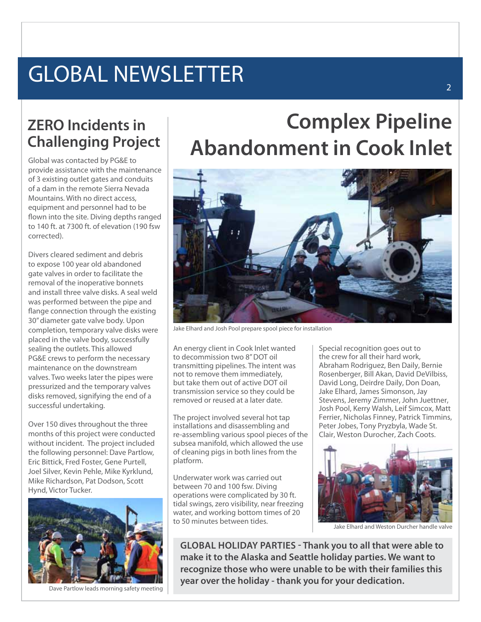## GLOBAL NEWSLETTER

### **ZERO Incidents in Challenging Project**

Global was contacted by PG&E to provide assistance with the maintenance of 3 existing outlet gates and conduits of a dam in the remote Sierra Nevada Mountains. With no direct access, equipment and personnel had to be flown into the site. Diving depths ranged to 140 ft. at 7300 ft. of elevation (190 fsw corrected).

Divers cleared sediment and debris to expose 100 year old abandoned gate valves in order to facilitate the removal of the inoperative bonnets and install three valve disks. A seal weld was performed between the pipe and flange connection through the existing 30" diameter gate valve body. Upon completion, temporary valve disks were placed in the valve body, successfully sealing the outlets. This allowed PG&E crews to perform the necessary maintenance on the downstream valves. Two weeks later the pipes were pressurized and the temporary valves disks removed, signifying the end of a successful undertaking.

Over 150 dives throughout the three months of this project were conducted without incident. The project included the following personnel: Dave Partlow, Eric Bittick, Fred Foster, Gene Purtell, Joel Silver, Kevin Pehle, Mike Kyrklund, Mike Richardson, Pat Dodson, Scott Hynd, Victor Tucker.



Dave Partlow leads morning safety meeting

### **Complex Pipeline Abandonment in Cook Inlet**



Jake Elhard and Josh Pool prepare spool piece for installation

An energy client in Cook Inlet wanted to decommission two 8" DOT oil transmitting pipelines. The intent was not to remove them immediately, but take them out of active DOT oil transmission service so they could be removed or reused at a later date.

The project involved several hot tap installations and disassembling and re-assembling various spool pieces of the subsea manifold, which allowed the use of cleaning pigs in both lines from the platform.

Underwater work was carried out between 70 and 100 fsw. Diving operations were complicated by 30 ft. tidal swings, zero visibility, near freezing water, and working bottom times of 20 to 50 minutes between tides.

Special recognition goes out to the crew for all their hard work, Abraham Rodriguez, Ben Daily, Bernie Rosenberger, Bill Akan, David DeVilbiss, David Long, Deirdre Daily, Don Doan, Jake Elhard, James Simonson, Jay Stevens, Jeremy Zimmer, John Juettner, Josh Pool, Kerry Walsh, Leif Simcox, Matt Ferrier, Nicholas Finney, Patrick Timmins, Peter Jobes, Tony Pryzbyla, Wade St. Clair, Weston Durocher, Zach Coots.



Jake Elhard and Weston Durcher handle valve

**Global Holiday parties - Thank you to all that were able to make it to the Alaska and Seattle holiday parties. We want to recognize those who were unable to be with their families this year over the holiday - thank you for your dedication.**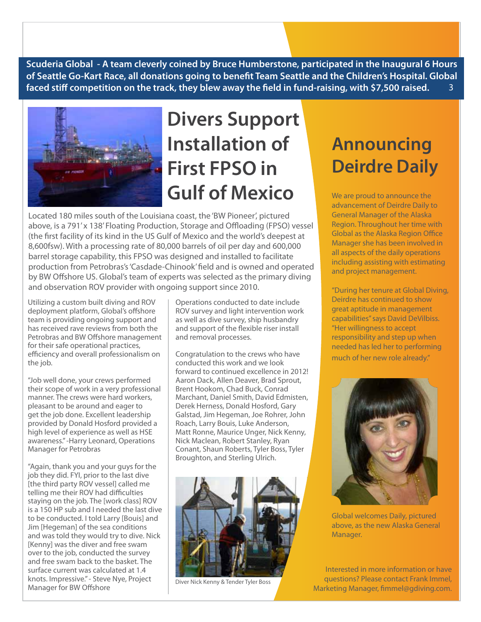**Scuderia Global - A team cleverly coined by Bruce Humberstone, participated in the Inaugural 6 Hours of Seattle Go-Kart Race, all donations going to benefit Team Seattle and the Children's Hospital. Global faced stiff competition on the track, they blew away the field in fund-raising, with \$7,500 raised.**  3



### **Divers Support Installation of First FPSO in Gulf of Mexico**

Located 180 miles south of the Louisiana coast, the 'BW Pioneer', pictured above, is a 791' x 138' Floating Production, Storage and Offloading (FPSO) vessel (the first facility of its kind in the US Gulf of Mexico and the world's deepest at 8,600fsw). With a processing rate of 80,000 barrels of oil per day and 600,000 barrel storage capability, this FPSO was designed and installed to facilitate production from Petrobras's 'Casdade-Chinook' field and is owned and operated by BW Offshore US. Global's team of experts was selected as the primary diving and observation ROV provider with ongoing support since 2010.

Utilizing a custom built diving and ROV deployment platform, Global's offshore team is providing ongoing support and has received rave reviews from both the Petrobras and BW Offshore management for their safe operational practices, efficiency and overall professionalism on the job.

"Job well done, your crews performed their scope of work in a very professional manner. The crews were hard workers, pleasant to be around and eager to get the job done. Excellent leadership provided by Donald Hosford provided a high level of experience as well as HSE awareness." -Harry Leonard, Operations Manager for Petrobras

"Again, thank you and your guys for the job they did. FYI, prior to the last dive [the third party ROV vessel] called me telling me their ROV had difficulties staying on the job. The [work class] ROV is a 150 HP sub and I needed the last dive to be conducted. I told Larry [Bouis] and Jim [Hegeman] of the sea conditions and was told they would try to dive. Nick [Kenny] was the diver and free swam over to the job, conducted the survey and free swam back to the basket. The surface current was calculated at 1.4 knots. Impressive." - Steve Nye, Project Manager for BW Offshore

Operations conducted to date include ROV survey and light intervention work as well as dive survey, ship husbandry and support of the flexible riser install and removal processes.

Congratulation to the crews who have conducted this work and we look forward to continued excellence in 2012! Aaron Dack, Allen Deaver, Brad Sprout, Brent Hookom, Chad Buck, Conrad Marchant, Daniel Smith, David Edmisten, Derek Herness, Donald Hosford, Gary Galstad, Jim Hegeman, Joe Rohrer, John Roach, Larry Bouis, Luke Anderson, Matt Ronne, Maurice Unger, Nick Kenny, Nick Maclean, Robert Stanley, Ryan Conant, Shaun Roberts, Tyler Boss, Tyler Broughton, and Sterling Ulrich.



### **Announcing Deirdre Daily**

We are proud to announce the advancement of Deirdre Daily to General Manager of the Alaska Region. Throughout her time with Global as the Alaska Region Office Manager she has been involved in all aspects of the daily operations including assisting with estimating and project management.

"During her tenure at Global Diving, Deirdre has continued to show great aptitude in management capabilities" says David DeVilbiss. "Her willingness to accept responsibility and step up when needed has led her to performing much of her new role already."



Global welcomes Daily, pictured above, as the new Alaska General Manager.

Interested in more information or have questions? Please contact Frank Immel, Diver Nick Kenny & Tender Tyler Boss<br>Marketing Manager, fimmel@gdiving.com.